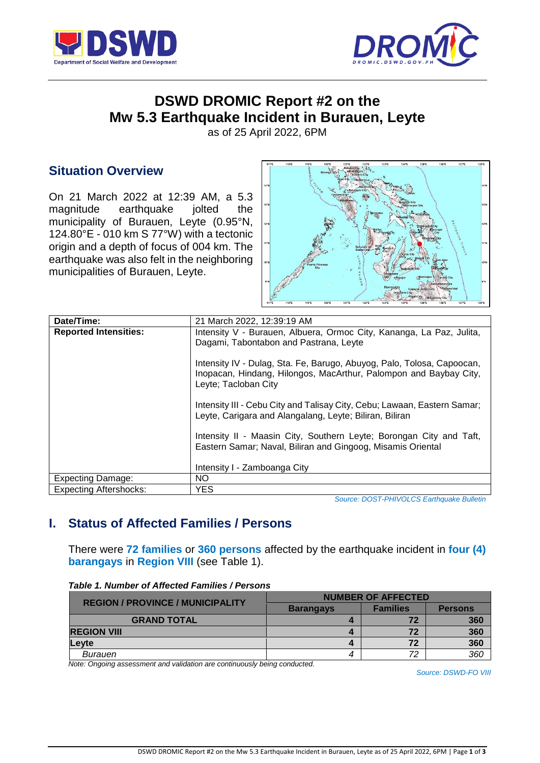



# **DSWD DROMIC Report #2 on the Mw 5.3 Earthquake Incident in Burauen, Leyte**

as of 25 April 2022, 6PM

## **Situation Overview**

On 21 March 2022 at 12:39 AM, a 5.3 magnitude earthquake jolted the municipality of Burauen, Leyte (0.95°N, 124.80°E - 010 km S 77°W) with a tectonic origin and a depth of focus of 004 km. The earthquake was also felt in the neighboring municipalities of Burauen, Leyte.



| Date/Time:                    | 21 March 2022, 12:39:19 AM                                                                                                                                          |
|-------------------------------|---------------------------------------------------------------------------------------------------------------------------------------------------------------------|
| <b>Reported Intensities:</b>  | Intensity V - Burauen, Albuera, Ormoc City, Kananga, La Paz, Julita,<br>Dagami, Tabontabon and Pastrana, Leyte                                                      |
|                               | Intensity IV - Dulag, Sta. Fe, Barugo, Abuyog, Palo, Tolosa, Capoocan,<br>Inopacan, Hindang, Hilongos, MacArthur, Palompon and Baybay City,<br>Leyte; Tacloban City |
|                               | Intensity III - Cebu City and Talisay City, Cebu; Lawaan, Eastern Samar;<br>Leyte, Carigara and Alangalang, Leyte; Biliran, Biliran                                 |
|                               | Intensity II - Maasin City, Southern Leyte; Borongan City and Taft,<br>Eastern Samar; Naval, Biliran and Gingoog, Misamis Oriental                                  |
|                               | Intensity I - Zamboanga City                                                                                                                                        |
| <b>Expecting Damage:</b>      | NO.                                                                                                                                                                 |
| <b>Expecting Aftershocks:</b> | <b>YES</b>                                                                                                                                                          |

*Source: [DOST-PHIVOLCS](http://www1.pagasa.dost.gov.ph/index.php/tropical-cyclones/weather-bulletins) Earthquake Bulletin*

## **I. Status of Affected Families / Persons**

There were **72 families** or **360 persons** affected by the earthquake incident in **four (4) barangays** in **Region VIII** (see Table 1).

| <b>REGION / PROVINCE / MUNICIPALITY</b> | <b>NUMBER OF AFFECTED</b> |                 |                |
|-----------------------------------------|---------------------------|-----------------|----------------|
|                                         | <b>Barangays</b>          | <b>Families</b> | <b>Persons</b> |
| <b>GRAND TOTAL</b>                      |                           |                 | 360            |
| <b>REGION VIII</b>                      |                           | 72              | 360            |
| <b>Levte</b>                            |                           | 72              | 360            |
| Burauen                                 | 4                         | 72              | 360            |

*Table 1. Number of Affected Families / Persons*

*Note: Ongoing assessment and validation are continuously being conducted.*

*Source: DSWD-FO VIII*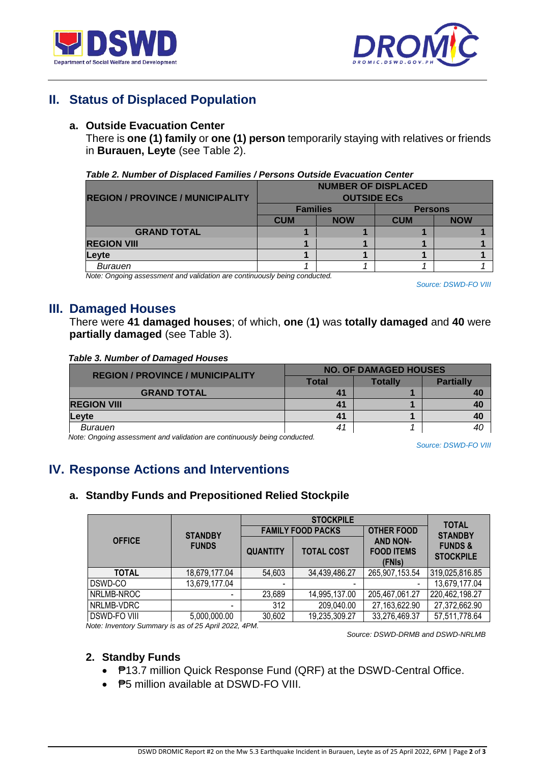



## **II. Status of Displaced Population**

### **a. Outside Evacuation Center**

There is **one (1) family** or **one (1) person** temporarily staying with relatives or friends in **Burauen, Leyte** (see Table 2).

#### *Table 2. Number of Displaced Families / Persons Outside Evacuation Center*

|                                         | <b>NUMBER OF DISPLACED</b> |            |                |            |
|-----------------------------------------|----------------------------|------------|----------------|------------|
| <b>REGION / PROVINCE / MUNICIPALITY</b> | <b>OUTSIDE ECS</b>         |            |                |            |
|                                         | <b>Families</b>            |            | <b>Persons</b> |            |
|                                         | <b>CUM</b>                 | <b>NOW</b> | <b>CUM</b>     | <b>NOW</b> |
| <b>GRAND TOTAL</b>                      |                            |            |                |            |
| <b>REGION VIII</b>                      |                            |            |                |            |
| <b>Levte</b>                            |                            |            |                |            |
| Burauen                                 |                            |            |                |            |

*Note: Ongoing assessment and validation are continuously being conducted.*

*Source: DSWD-FO VIII*

## **III. Damaged Houses**

There were **41 damaged houses**; of which, **one** (**1)** was **totally damaged** and **40** were **partially damaged** (see Table 3).

#### *Table 3. Number of Damaged Houses*

| <b>REGION / PROVINCE / MUNICIPALITY</b> | <b>NO. OF DAMAGED HOUSES</b> |         |                  |
|-----------------------------------------|------------------------------|---------|------------------|
|                                         | Total                        | Totallv | <b>Partially</b> |
| <b>GRAND TOTAL</b>                      |                              |         |                  |
| <b>REGION VIII</b>                      | 41                           |         |                  |
| Levte                                   | 41                           |         | 40               |
| Burauen                                 | 4 <sup>1</sup>               |         |                  |

*Note: Ongoing assessment and validation are continuously being conducted.*

*Source: DSWD-FO VIII*

## **IV. Response Actions and Interventions**

### **a. Standby Funds and Prepositioned Relied Stockpile**

|                     |                                |                          | <b>TOTAL</b>             |                                                                     |                                                          |
|---------------------|--------------------------------|--------------------------|--------------------------|---------------------------------------------------------------------|----------------------------------------------------------|
| <b>OFFICE</b>       | <b>STANDBY</b><br><b>FUNDS</b> |                          | <b>FAMILY FOOD PACKS</b> | <b>OTHER FOOD</b><br><b>AND NON-</b><br><b>FOOD ITEMS</b><br>(FNIs) | <b>STANDBY</b><br><b>FUNDS &amp;</b><br><b>STOCKPILE</b> |
|                     |                                | <b>QUANTITY</b>          | <b>TOTAL COST</b>        |                                                                     |                                                          |
| <b>TOTAL</b>        | 18,679,177.04                  | 54,603                   | 34,439,486.27            | 265,907,153.54                                                      | 319,025,816.85                                           |
| DSWD-CO             | 13,679,177.04                  | $\overline{\phantom{a}}$ |                          |                                                                     | 13,679,177.04                                            |
| NRLMB-NROC          |                                | 23,689                   | 14,995,137.00            | 205,467,061.27                                                      | 220,462,198.27                                           |
| NRLMB-VDRC          | -                              | 312                      | 209,040.00               | 27,163,622.90                                                       | 27,372,662.90                                            |
| <b>DSWD-FO VIII</b> | 5,000,000.00                   | 30,602                   | 19,235,309.27            | 33,276,469.37                                                       | 57,511,778.64                                            |

*Note: Inventory Summary is as of 25 April 2022, 4PM.*

*Source: DSWD-DRMB and DSWD-NRLMB*

#### **2. Standby Funds**

- ₱13.7 million Quick Response Fund (QRF) at the DSWD-Central Office.
- **P5 million available at DSWD-FO VIII.**